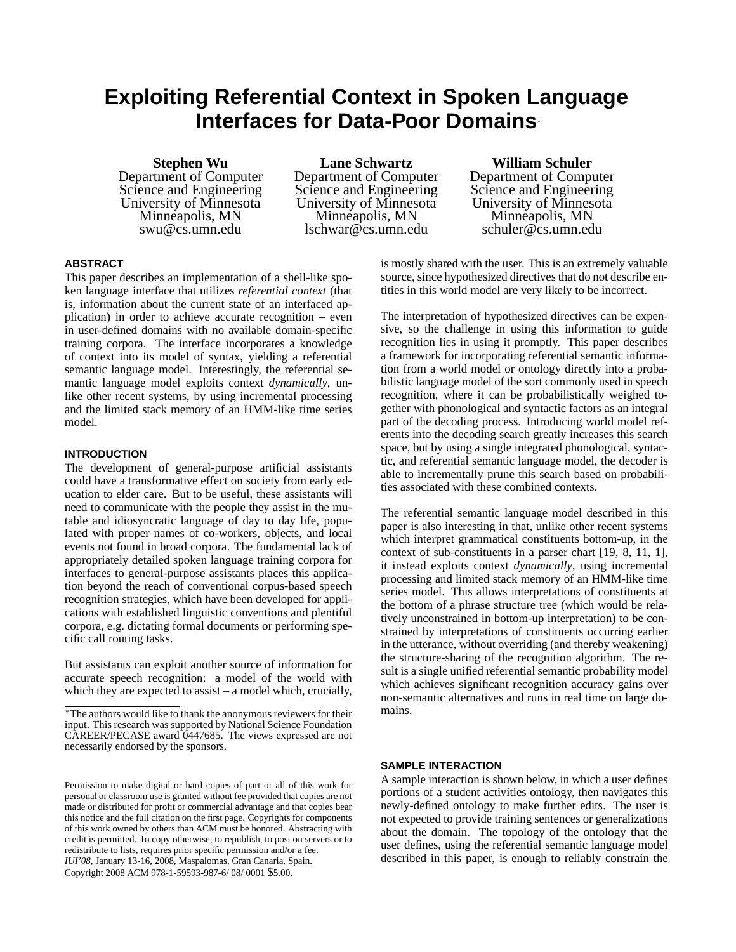# **Exploiting Referential Context in Spoken Language Interfaces for Data-Poor Domains**<sup>∗</sup>

**Stephen Wu** Department of Computer Science and Engineering University of Minnesota Minneapolis, MN swu@cs.umn.edu

**Lane Schwartz** Department of Computer Science and Engineering University of Minnesota Minneapolis, MN lschwar@cs.umn.edu

**William Schuler** Department of Computer Science and Engineering University of Minnesota Minneapolis, MN schuler@cs.umn.edu

# **ABSTRACT**

This paper describes an implementation of a shell-like spoken language interface that utilizes *referential context* (that is, information about the current state of an interfaced application) in order to achieve accurate recognition – even in user-defined domains with no available domain-specific training corpora. The interface incorporates a knowledge of context into its model of syntax, yielding a referential semantic language model. Interestingly, the referential semantic language model exploits context *dynamically*, unlike other recent systems, by using incremental processing and the limited stack memory of an HMM-like time series model.

#### **INTRODUCTION**

The development of general-purpose artificial assistants could have a transformative effect on society from early education to elder care. But to be useful, these assistants will need to communicate with the people they assist in the mutable and idiosyncratic language of day to day life, populated with proper names of co-workers, objects, and local events not found in broad corpora. The fundamental lack of appropriately detailed spoken language training corpora for interfaces to general-purpose assistants places this application beyond the reach of conventional corpus-based speech recognition strategies, which have been developed for applications with established linguistic conventions and plentiful corpora, e.g. dictating formal documents or performing specific call routing tasks.

But assistants can exploit another source of information for accurate speech recognition: a model of the world with which they are expected to assist – a model which, crucially,

Permission to make digital or hard copies of part or all of this work for personal or classroom use is granted without fee provided that copies are not made or distributed for profit or commercial advantage and that copies bear this notice and the full citation on the first page. Copyrights for components of this work owned by others than ACM must be honored. Abstracting with credit is permitted. To copy otherwise, to republish, to post on servers or to redistribute to lists, requires prior specific permission and/or a fee. *IUI'08*, January 13-16, 2008, Maspalomas, Gran Canaria, Spain. Copyright 2008 ACM 978-1-59593-987-6/ 08/ 0001 \$5.00.

is mostly shared with the user. This is an extremely valuable source, since hypothesized directives that do not describe entities in this world model are very likely to be incorrect.

The interpretation of hypothesized directives can be expensive, so the challenge in using this information to guide recognition lies in using it promptly. This paper describes a framework for incorporating referential semantic information from a world model or ontology directly into a probabilistic language model of the sort commonly used in speech recognition, where it can be probabilistically weighed together with phonological and syntactic factors as an integral part of the decoding process. Introducing world model referents into the decoding search greatly increases this search space, but by using a single integrated phonological, syntactic, and referential semantic language model, the decoder is able to incrementally prune this search based on probabilities associated with these combined contexts.

The referential semantic language model described in this paper is also interesting in that, unlike other recent systems which interpret grammatical constituents bottom-up, in the context of sub-constituents in a parser chart [19, 8, 11, 1], it instead exploits context *dynamically*, using incremental processing and limited stack memory of an HMM-like time series model. This allows interpretations of constituents at the bottom of a phrase structure tree (which would be relatively unconstrained in bottom-up interpretation) to be constrained by interpretations of constituents occurring earlier in the utterance, without overriding (and thereby weakening) the structure-sharing of the recognition algorithm. The result is a single unified referential semantic probability model which achieves significant recognition accuracy gains over non-semantic alternatives and runs in real time on large domains.

#### **SAMPLE INTERACTION**

A sample interaction is shown below, in which a user defines portions of a student activities ontology, then navigates this newly-defined ontology to make further edits. The user is not expected to provide training sentences or generalizations about the domain. The topology of the ontology that the user defines, using the referential semantic language model described in this paper, is enough to reliably constrain the

<sup>∗</sup>The authors would like to thank the anonymous reviewers for their input. This research was supported by National Science Foundation CAREER/PECASE award 0447685. The views expressed are not necessarily endorsed by the sponsors.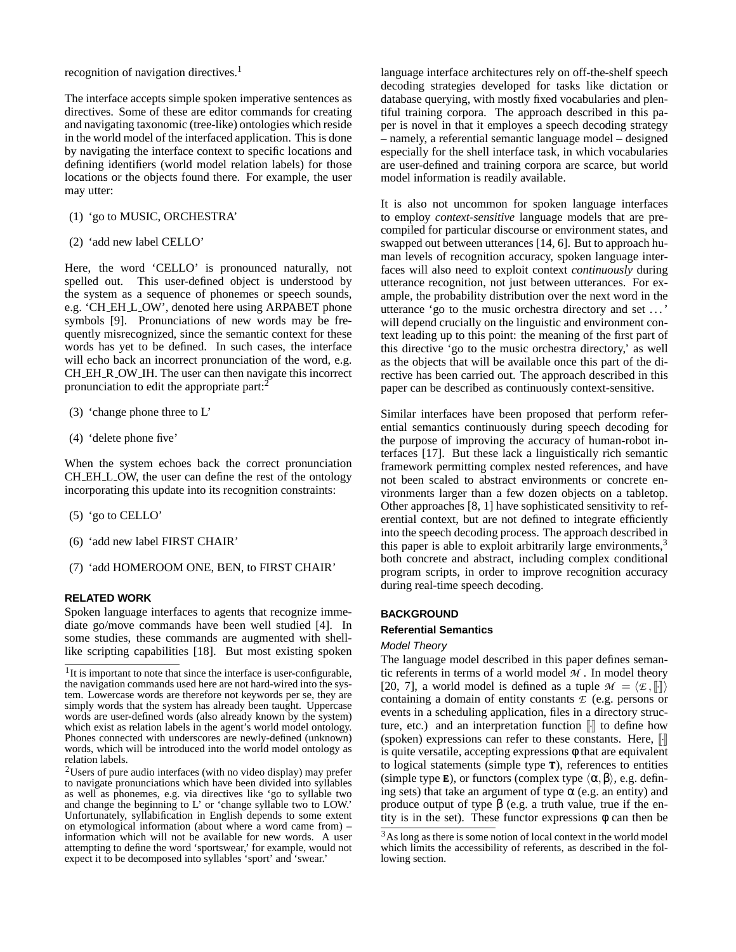recognition of navigation directives.<sup>1</sup>

The interface accepts simple spoken imperative sentences as directives. Some of these are editor commands for creating and navigating taxonomic (tree-like) ontologies which reside in the world model of the interfaced application. This is done by navigating the interface context to specific locations and defining identifiers (world model relation labels) for those locations or the objects found there. For example, the user may utter:

- (1) 'go to MUSIC, ORCHESTRA'
- (2) 'add new label CELLO'

Here, the word 'CELLO' is pronounced naturally, not spelled out. This user-defined object is understood by the system as a sequence of phonemes or speech sounds, e.g. 'CH\_EH\_L\_OW', denoted here using ARPABET phone symbols [9]. Pronunciations of new words may be frequently misrecognized, since the semantic context for these words has yet to be defined. In such cases, the interface will echo back an incorrect pronunciation of the word, e.g. CH EH R OW IH. The user can then navigate this incorrect pronunciation to edit the appropriate part: $<sup>2</sup>$ </sup>

- (3) 'change phone three to L'
- (4) 'delete phone five'

When the system echoes back the correct pronunciation CH EH L OW, the user can define the rest of the ontology incorporating this update into its recognition constraints:

- (5) 'go to CELLO'
- (6) 'add new label FIRST CHAIR'
- (7) 'add HOMEROOM ONE, BEN, to FIRST CHAIR'

# **RELATED WORK**

Spoken language interfaces to agents that recognize immediate go/move commands have been well studied [4]. In some studies, these commands are augmented with shelllike scripting capabilities [18]. But most existing spoken language interface architectures rely on off-the-shelf speech decoding strategies developed for tasks like dictation or database querying, with mostly fixed vocabularies and plentiful training corpora. The approach described in this paper is novel in that it employes a speech decoding strategy – namely, a referential semantic language model – designed especially for the shell interface task, in which vocabularies are user-defined and training corpora are scarce, but world model information is readily available.

It is also not uncommon for spoken language interfaces to employ *context-sensitive* language models that are precompiled for particular discourse or environment states, and swapped out between utterances [14, 6]. But to approach human levels of recognition accuracy, spoken language interfaces will also need to exploit context *continuously* during utterance recognition, not just between utterances. For example, the probability distribution over the next word in the utterance 'go to the music orchestra directory and set . . . ' will depend crucially on the linguistic and environment context leading up to this point: the meaning of the first part of this directive 'go to the music orchestra directory,' as well as the objects that will be available once this part of the directive has been carried out. The approach described in this paper can be described as continuously context-sensitive.

Similar interfaces have been proposed that perform referential semantics continuously during speech decoding for the purpose of improving the accuracy of human-robot interfaces [17]. But these lack a linguistically rich semantic framework permitting complex nested references, and have not been scaled to abstract environments or concrete environments larger than a few dozen objects on a tabletop. Other approaches [8, 1] have sophisticated sensitivity to referential context, but are not defined to integrate efficiently into the speech decoding process. The approach described in this paper is able to exploit arbitrarily large environments, $3$ both concrete and abstract, including complex conditional program scripts, in order to improve recognition accuracy during real-time speech decoding.

# **BACKGROUND**

#### **Referential Semantics**

#### Model Theory

The language model described in this paper defines semantic referents in terms of a world model *M* . In model theory [20, 7], a world model is defined as a tuple  $\mathcal{M} = \langle \mathcal{L}, \llbracket \cdot \rrbracket \rangle$ containing a domain of entity constants *E* (e.g. persons or events in a scheduling application, files in a directory structure, etc.) and an interpretation function  $\llbracket \cdot \rrbracket$  to define how (spoken) expressions can refer to these constants. Here,  $\llbracket \cdot \rrbracket$ is quite versatile, accepting expressions  $\phi$  that are equivalent to logical statements (simple type T), references to entities (simple type **E**), or functors (complex type  $\langle \alpha, \beta \rangle$ , e.g. defining sets) that take an argument of type  $\alpha$  (e.g. an entity) and produce output of type  $\beta$  (e.g. a truth value, true if the entity is in the set). These functor expressions  $\phi$  can then be

<sup>&</sup>lt;sup>1</sup>It is important to note that since the interface is user-configurable, the navigation commands used here are not hard-wired into the system. Lowercase words are therefore not keywords per se, they are simply words that the system has already been taught. Uppercase words are user-defined words (also already known by the system) which exist as relation labels in the agent's world model ontology. Phones connected with underscores are newly-defined (unknown) words, which will be introduced into the world model ontology as relation labels.

<sup>2</sup>Users of pure audio interfaces (with no video display) may prefer to navigate pronunciations which have been divided into syllables as well as phonemes, e.g. via directives like 'go to syllable two and change the beginning to L' or 'change syllable two to LOW.' Unfortunately, syllabification in English depends to some extent on etymological information (about where a word came from) – information which will not be available for new words. A user attempting to define the word 'sportswear,' for example, would not expect it to be decomposed into syllables 'sport' and 'swear.'

<sup>3</sup>As long as there is some notion of local context in the world model which limits the accessibility of referents, as described in the following section.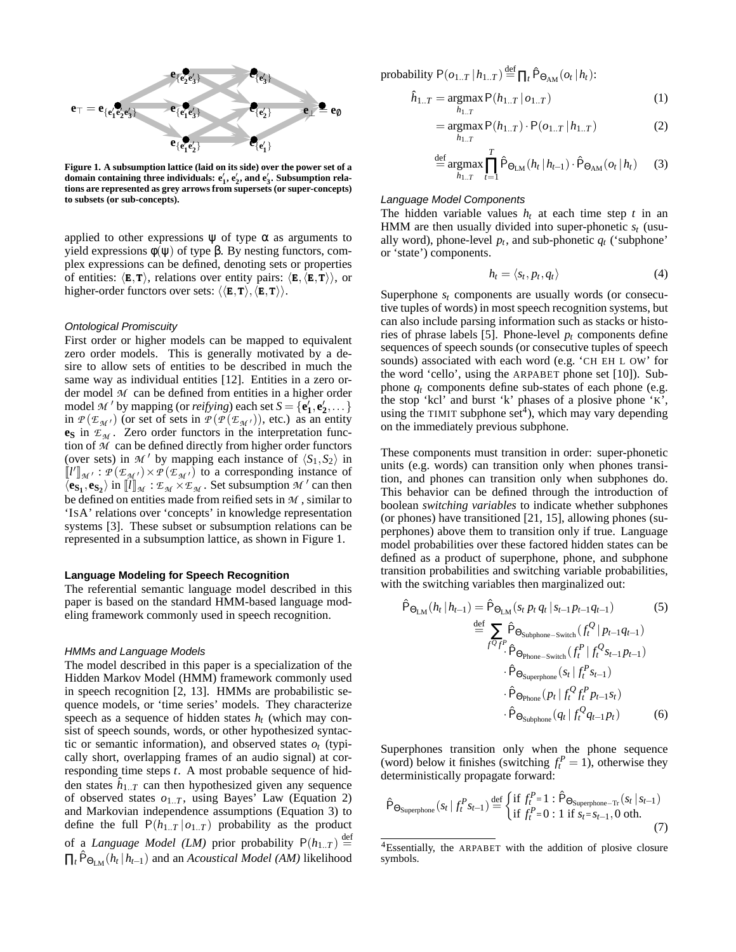

**Figure 1. A subsumption lattice (laid on its side) over the power set of a domain containing three individuals:**  $e'_{1}$ **,**  $e'_{2}$ **, and**  $e'_{3}$ **. Subsumption relations are represented as grey arrows from supersets (or super-concepts) to subsets (or sub-concepts).**

applied to other expressions  $\psi$  of type  $\alpha$  as arguments to yield expressions  $φ(ψ)$  of type  $β$ . By nesting functors, complex expressions can be defined, denoting sets or properties of entities:  $\langle \mathbf{E}, \mathbf{T} \rangle$ , relations over entity pairs:  $\langle \mathbf{E}, \langle \mathbf{E}, \mathbf{T} \rangle$ , or higher-order functors over sets:  $\langle \langle \mathbf{E}, \mathbf{T} \rangle, \langle \mathbf{E}, \mathbf{T} \rangle \rangle$ .

#### Ontological Promiscuity

First order or higher models can be mapped to equivalent zero order models. This is generally motivated by a desire to allow sets of entities to be described in much the same way as individual entities [12]. Entities in a zero order model *M* can be defined from entities in a higher order model *M*<sup>*'*</sup> by mapping (or *reifying*) each set  $S = {\mathbf{e}'_1, \mathbf{e}'_2, ...}$ <br>in  $P(\mathcal{E}_{M'})$  (or set of sets in  $P(P(\mathcal{E}_{M'}))$ , etc.) as an entity **eS** in  $E_M$ . Zero order functors in the interpretation function of *M* can be defined directly from higher order functors (over sets) in  $M'$  by mapping each instance of  $\langle S_1, S_2 \rangle$  in  $\llbracket l' \rrbracket_{\mathcal{M}}$  :  $\mathcal{P}(\mathcal{E}_{\mathcal{M}}) \times \mathcal{P}(\mathcal{E}_{\mathcal{M}})$  to a corresponding instance of  $\langle \mathbf{e}_{\mathbf{S}_1}, \mathbf{e}_{\mathbf{S}_2} \rangle$  in  $\llbracket l \rrbracket_M : \mathcal{I}_M \times \mathcal{I}_M$ . Set subsumption *M*  $'$  can then be defined on entities made from reified sets in *M* , similar to 'ISA' relations over 'concepts' in knowledge representation systems [3]. These subset or subsumption relations can be represented in a subsumption lattice, as shown in Figure 1.

## **Language Modeling for Speech Recognition**

The referential semantic language model described in this paper is based on the standard HMM-based language modeling framework commonly used in speech recognition.

#### HMMs and Language Models

The model described in this paper is a specialization of the Hidden Markov Model (HMM) framework commonly used in speech recognition [2, 13]. HMMs are probabilistic sequence models, or 'time series' models. They characterize speech as a sequence of hidden states  $h_t$  (which may consist of speech sounds, words, or other hypothesized syntactic or semantic information), and observed states  $o_t$  (typically short, overlapping frames of an audio signal) at corresponding time steps *t*. A most probable sequence of hidden states  $\hat{h}_{1..T}$  can then hypothesized given any sequence of observed states  $o_{1,T}$ , using Bayes' Law (Equation 2) and Markovian independence assumptions (Equation 3) to define the full  $P(h_{1..T} | o_{1..T})$  probability as the product of a *Language Model (LM)* prior probability  $P(h_{1..T}) \stackrel{\text{def}}{=}$  $\prod_{t} \hat{P}_{\Theta_{LM}}(h_t | h_{t-1})$  and an *Acoustical Model (AM)* likelihood

probability  $P(o_{1..T} | h_{1..T}) \stackrel{\text{def}}{=} \prod_t \hat{P}_{\Theta_{AM}}(o_t | h_t)$ :

$$
\hat{h}_{1..T} = \underset{h_{1..T}}{\text{argmax}} P(h_{1..T} | o_{1..T})
$$
\n(1)

$$
= \underset{h_{1..T}}{\text{argmax}} P(h_{1..T}) \cdot P(o_{1..T} | h_{1..T})
$$
 (2)

$$
\stackrel{\text{def}}{=} \underset{h_{1..T}}{\text{argmax}} \prod_{t=1}^{T} \hat{P}_{\Theta_{LM}}(h_t | h_{t-1}) \cdot \hat{P}_{\Theta_{AM}}(o_t | h_t) \tag{3}
$$

# Language Model Components

The hidden variable values  $h_t$  at each time step  $t$  in an HMM are then usually divided into super-phonetic *s<sup>t</sup>* (usually word), phone-level  $p_t$ , and sub-phonetic  $q_t$  ('subphone' or 'state') components.

$$
h_t = \langle s_t, p_t, q_t \rangle \tag{4}
$$

Superphone *s<sup>t</sup>* components are usually words (or consecutive tuples of words) in most speech recognition systems, but can also include parsing information such as stacks or histories of phrase labels [5]. Phone-level  $p_t$  components define sequences of speech sounds (or consecutive tuples of speech sounds) associated with each word (e.g. 'CH EH L OW' for the word 'cello', using the ARPABET phone set [10]). Subphone  $q_t$  components define sub-states of each phone (e.g. the stop 'kcl' and burst 'k' phases of a plosive phone 'K', using the TIMIT subphone  $\text{set}^4$ ), which may vary depending on the immediately previous subphone.

These components must transition in order: super-phonetic units (e.g. words) can transition only when phones transition, and phones can transition only when subphones do. This behavior can be defined through the introduction of boolean *switching variables* to indicate whether subphones (or phones) have transitioned [21, 15], allowing phones (superphones) above them to transition only if true. Language model probabilities over these factored hidden states can be defined as a product of superphone, phone, and subphone transition probabilities and switching variable probabilities, with the switching variables then marginalized out:

$$
\hat{\mathsf{P}}_{\Theta_{LM}}(h_t | h_{t-1}) = \hat{\mathsf{P}}_{\Theta_{LM}}(s_t p_t q_t | s_{t-1} p_{t-1} q_{t-1})
$$
(5)  
\n
$$
\stackrel{\text{def}}{=} \sum_{f^Q f^P} \hat{\mathsf{P}}_{\Theta_{\text{Subphone-Switch}}}(f_t^Q | p_{t-1} q_{t-1})
$$
  
\n
$$
\hat{\mathsf{P}}_{\Theta_{\text{Phone}}-{\text{Switch}}}(f_t^P | f_t^Q s_{t-1} p_{t-1})
$$
  
\n
$$
\hat{\mathsf{P}}_{\Theta_{\text{Superphone}}}(s_t | f_t^P s_{t-1})
$$
  
\n
$$
\hat{\mathsf{P}}_{\Theta_{\text{Phone}}}(p_t | f_t^Q f_t^P p_{t-1} s_t)
$$
  
\n
$$
\hat{\mathsf{P}}_{\Theta_{\text{Subphone}}}(q_t | f_t^Q q_{t-1} p_t)
$$
(6)

Superphones transition only when the phone sequence (word) below it finishes (switching  $f_t^P = 1$ ), otherwise they deterministically propagate forward:

$$
\hat{\mathsf{P}}_{\Theta_{\text{Superphone}}}(s_t | f_t^P s_{t-1}) \stackrel{\text{def}}{=} \begin{cases} \text{if } f_t^P = 1 : \hat{\mathsf{P}}_{\Theta_{\text{Superphone}} - \text{Tr}}(s_t | s_{t-1}) \\ \text{if } f_t^P = 0 : 1 \text{ if } s_t = s_{t-1}, 0 \text{ oth.} \end{cases} \tag{7}
$$

<sup>4</sup>Essentially, the ARPABET with the addition of plosive closure symbols.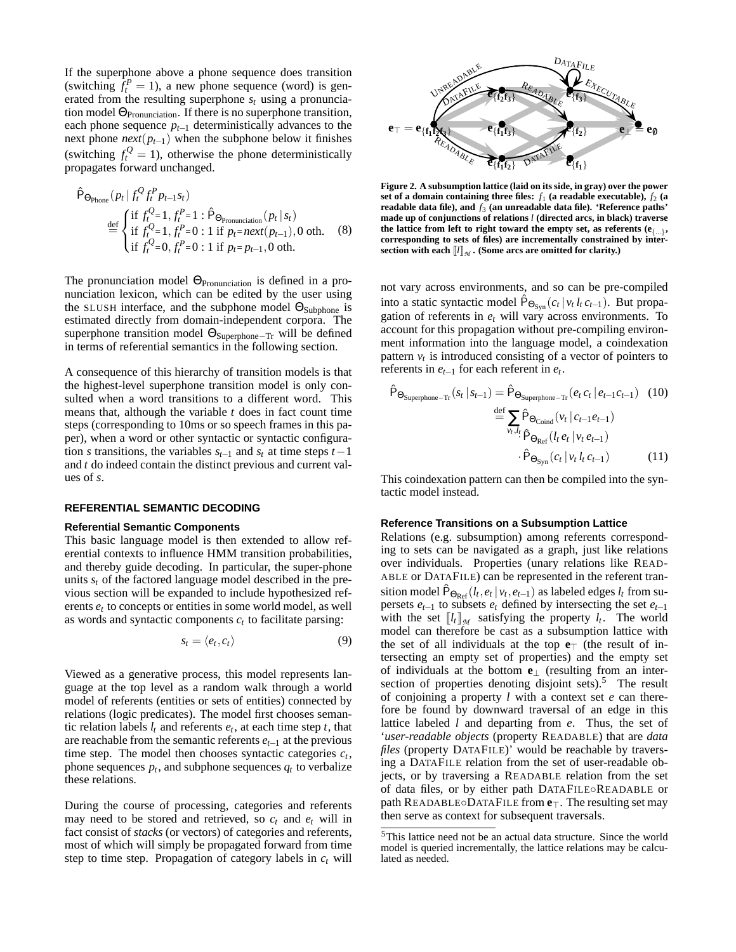If the superphone above a phone sequence does transition (switching  $\hat{f}_t^P = 1$ ), a new phone sequence (word) is generated from the resulting superphone *s<sup>t</sup>* using a pronunciation model Θ<sub>Pronunciation</sub>. If there is no superphone transition, each phone sequence *pt*−<sup>1</sup> deterministically advances to the next phone  $next(p_{t-1})$  when the subphone below it finishes (switching  $f_t^Q = 1$ ), otherwise the phone deterministically propagates forward unchanged.

$$
\hat{P}_{\Theta_{\text{Phone}}}(p_t | f_t^{\mathcal{Q}} f_t^P p_{t-1} s_t)
$$
\n
$$
\stackrel{\text{def}}{=} \begin{cases}\n\text{if } f_t^{\mathcal{Q}} = 1, f_t^P = 1 : \hat{P}_{\Theta_{\text{Fromunciation}}}(p_t | s_t) \\
\text{if } f_t^{\mathcal{Q}} = 1, f_t^P = 0 : 1 \text{ if } p_t = \text{next}(p_{t-1}), 0 \text{ oth.} \\
\text{if } f_t^{\mathcal{Q}} = 0, f_t^P = 0 : 1 \text{ if } p_t = p_{t-1}, 0 \text{ oth.}\n\end{cases}
$$
\n(8)

The pronunciation model  $\Theta_{\text{Pronunciation}}$  is defined in a pronunciation lexicon, which can be edited by the user using the SLUSH interface, and the subphone model  $\Theta_{\text{Subphone}}$  is estimated directly from domain-independent corpora. The superphone transition model Θ<sub>Superphone−Tr</sub> will be defined in terms of referential semantics in the following section.

A consequence of this hierarchy of transition models is that the highest-level superphone transition model is only consulted when a word transitions to a different word. This means that, although the variable *t* does in fact count time steps (corresponding to 10ms or so speech frames in this paper), when a word or other syntactic or syntactic configuration *s* transitions, the variables  $s_{t-1}$  and  $s_t$  at time steps  $t-1$ and *t* do indeed contain the distinct previous and current values of *s*.

# **REFERENTIAL SEMANTIC DECODING**

#### **Referential Semantic Components**

This basic language model is then extended to allow referential contexts to influence HMM transition probabilities, and thereby guide decoding. In particular, the super-phone units *s<sup>t</sup>* of the factored language model described in the previous section will be expanded to include hypothesized referents *e<sup>t</sup>* to concepts or entities in some world model, as well as words and syntactic components  $c_t$  to facilitate parsing:

$$
s_t = \langle e_t, c_t \rangle \tag{9}
$$

Viewed as a generative process, this model represents language at the top level as a random walk through a world model of referents (entities or sets of entities) connected by relations (logic predicates). The model first chooses semantic relation labels  $l_t$  and referents  $e_t$ , at each time step  $t$ , that are reachable from the semantic referents *et*−<sup>1</sup> at the previous time step. The model then chooses syntactic categories  $c_t$ , phone sequences  $p_t$ , and subphone sequences  $q_t$  to verbalize these relations.

During the course of processing, categories and referents may need to be stored and retrieved, so  $c_t$  and  $e_t$  will in fact consist of *stacks* (or vectors) of categories and referents, most of which will simply be propagated forward from time step to time step. Propagation of category labels in  $c_t$  will



**Figure 2. A subsumption lattice (laid on its side, in gray) over the power set of a domain containing three files:**  $f_1$  (a readable executable),  $f_2$  (a **readable data file), and** *f*<sup>3</sup> **(an unreadable data file). 'Reference paths' made up of conjunctions of relations** *l* **(directed arcs, in black) traverse the lattice from left to right toward the empty set, as referents (e**{...} **, corresponding to sets of files) are incrementally constrained by inter**section with each  $[\![l]\!]_{\mathcal{M}}$  . (Some arcs are omitted for clarity.)

not vary across environments, and so can be pre-compiled into a static syntactic model  $\hat{P}_{\Theta_{syn}}(c_t | v_t l_t c_{t-1})$ . But propagation of referents in *e<sup>t</sup>* will vary across environments. To account for this propagation without pre-compiling environment information into the language model, a coindexation pattern  $v_t$  is introduced consisting of a vector of pointers to referents in  $e_{t-1}$  for each referent in  $e_t$ .

$$
\hat{\mathsf{P}}_{\Theta_{\text{Superphone-Tr}}}(s_t | s_{t-1}) = \hat{\mathsf{P}}_{\Theta_{\text{Superphone-Tr}}}(e_t c_t | e_{t-1} c_{t-1}) \quad (10)
$$
\n
$$
\stackrel{\text{def}}{=} \sum_{v_t, l_t} \hat{\mathsf{P}}_{\Theta_{\text{Coind}}}(v_t | c_{t-1} e_{t-1})
$$
\n
$$
\hat{\mathsf{P}}_{\Theta_{\text{Ref}}}(l_t e_t | v_t e_{t-1})
$$
\n
$$
\hat{\mathsf{P}}_{\Theta_{\text{Sym}}}(c_t | v_t l_t c_{t-1}) \quad (11)
$$

This coindexation pattern can then be compiled into the syntactic model instead.

#### **Reference Transitions on a Subsumption Lattice**

Relations (e.g. subsumption) among referents corresponding to sets can be navigated as a graph, just like relations over individuals. Properties (unary relations like READ-ABLE or DATAFILE) can be represented in the referent transition model  $\hat{P}_{\Theta_{\text{Ref}}}(l_t, e_t | v_t, e_{t-1})$  as labeled edges  $l_t$  from supersets  $e_{t-1}$  to subsets  $e_t$  defined by intersecting the set  $e_{t-1}$ with the set  $\llbracket l_t \rrbracket_M$  satisfying the property  $l_t$ . The world model can therefore be cast as a subsumption lattice with the set of all individuals at the top **e**<sup>⊤</sup> (the result of intersecting an empty set of properties) and the empty set of individuals at the bottom **e**<sup>⊥</sup> (resulting from an intersection of properties denoting disjoint sets).<sup>5</sup> The result of conjoining a property *l* with a context set *e* can therefore be found by downward traversal of an edge in this lattice labeled *l* and departing from *e*. Thus, the set of '*user-readable objects* (property READABLE) that are *data files* (property DATAFILE)' would be reachable by traversing a DATAFILE relation from the set of user-readable objects, or by traversing a READABLE relation from the set of data files, or by either path DATAFILE◦READABLE or path READABLE◦DATAFILE from **e**⊤. The resulting set may then serve as context for subsequent traversals.

<sup>5</sup>This lattice need not be an actual data structure. Since the world model is queried incrementally, the lattice relations may be calculated as needed.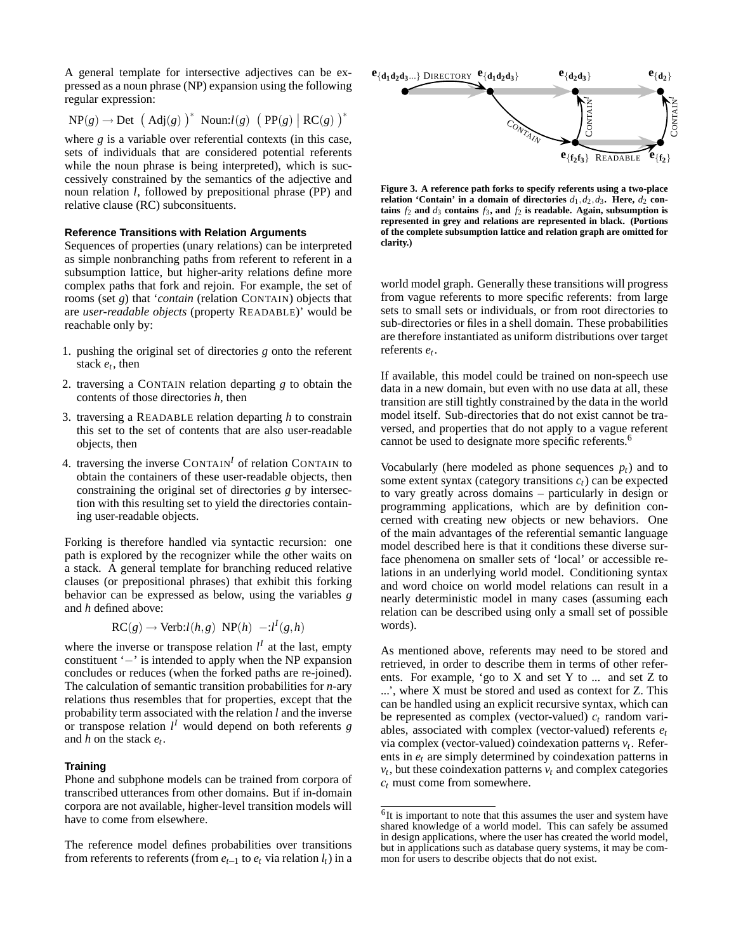A general template for intersective adjectives can be expressed as a noun phrase (NP) expansion using the following regular expression:

$$
\text{NP}(g) \to \text{Det} \ (\text{Adj}(g))^{*} \ \text{Noun:} l(g) \ (\text{PP}(g) \mid \text{RC}(g))^{*}
$$

where *g* is a variable over referential contexts (in this case, sets of individuals that are considered potential referents while the noun phrase is being interpreted), which is successively constrained by the semantics of the adjective and noun relation *l*, followed by prepositional phrase (PP) and relative clause (RC) subconsituents.

#### **Reference Transitions with Relation Arguments**

Sequences of properties (unary relations) can be interpreted as simple nonbranching paths from referent to referent in a subsumption lattice, but higher-arity relations define more complex paths that fork and rejoin. For example, the set of rooms (set *g*) that '*contain* (relation CONTAIN) objects that are *user-readable objects* (property READABLE)' would be reachable only by:

- 1. pushing the original set of directories *g* onto the referent stack *e<sup>t</sup>* , then
- 2. traversing a CONTAIN relation departing *g* to obtain the contents of those directories *h*, then
- 3. traversing a READABLE relation departing *h* to constrain this set to the set of contents that are also user-readable objects, then
- 4. traversing the inverse CONTAIN*<sup>I</sup>* of relation CONTAIN to obtain the containers of these user-readable objects, then constraining the original set of directories *g* by intersection with this resulting set to yield the directories containing user-readable objects.

Forking is therefore handled via syntactic recursion: one path is explored by the recognizer while the other waits on a stack. A general template for branching reduced relative clauses (or prepositional phrases) that exhibit this forking behavior can be expressed as below, using the variables *g* and *h* defined above:

$$
RC(g) \rightarrow Verb:l(h,g)
$$
  $NP(h) -:l^{I}(g,h)$ 

where the inverse or transpose relation  $l<sup>I</sup>$  at the last, empty constituent '−' is intended to apply when the NP expansion concludes or reduces (when the forked paths are re-joined). The calculation of semantic transition probabilities for *n*-ary relations thus resembles that for properties, except that the probability term associated with the relation *l* and the inverse or transpose relation  $l^I$  would depend on both referents  $g$ and *h* on the stack *e<sup>t</sup>* .

# **Training**

Phone and subphone models can be trained from corpora of transcribed utterances from other domains. But if in-domain corpora are not available, higher-level transition models will have to come from elsewhere.

The reference model defines probabilities over transitions from referents to referents (from  $e_{t-1}$  to  $e_t$  via relation  $l_t$ ) in a



**Figure 3. A reference path forks to specify referents using a two-place** relation 'Contain' in a domain of directories  $d_1, d_2, d_3$ . Here,  $d_2$  con**tains**  $f_2$  and  $d_3$  **contains**  $f_3$ **, and**  $f_2$  **is readable.** Again, subsumption is **represented in grey and relations are represented in black. (Portions of the complete subsumption lattice and relation graph are omitted for clarity.)**

world model graph. Generally these transitions will progress from vague referents to more specific referents: from large sets to small sets or individuals, or from root directories to sub-directories or files in a shell domain. These probabilities are therefore instantiated as uniform distributions over target referents *e<sup>t</sup>* .

If available, this model could be trained on non-speech use data in a new domain, but even with no use data at all, these transition are still tightly constrained by the data in the world model itself. Sub-directories that do not exist cannot be traversed, and properties that do not apply to a vague referent cannot be used to designate more specific referents.<sup>6</sup>

Vocabularly (here modeled as phone sequences  $p_t$ ) and to some extent syntax (category transitions *ct*) can be expected to vary greatly across domains – particularly in design or programming applications, which are by definition concerned with creating new objects or new behaviors. One of the main advantages of the referential semantic language model described here is that it conditions these diverse surface phenomena on smaller sets of 'local' or accessible relations in an underlying world model. Conditioning syntax and word choice on world model relations can result in a nearly deterministic model in many cases (assuming each relation can be described using only a small set of possible words).

As mentioned above, referents may need to be stored and retrieved, in order to describe them in terms of other referents. For example, 'go to X and set Y to ... and set Z to ...', where X must be stored and used as context for Z. This can be handled using an explicit recursive syntax, which can be represented as complex (vector-valued) *c<sup>t</sup>* random variables, associated with complex (vector-valued) referents *e<sup>t</sup>* via complex (vector-valued) coindexation patterns *v<sup>t</sup>* . Referents in *e<sup>t</sup>* are simply determined by coindexation patterns in  $v_t$ , but these coindexation patterns  $v_t$  and complex categories *c<sup>t</sup>* must come from somewhere.

<sup>&</sup>lt;sup>6</sup>It is important to note that this assumes the user and system have shared knowledge of a world model. This can safely be assumed in design applications, where the user has created the world model, but in applications such as database query systems, it may be common for users to describe objects that do not exist.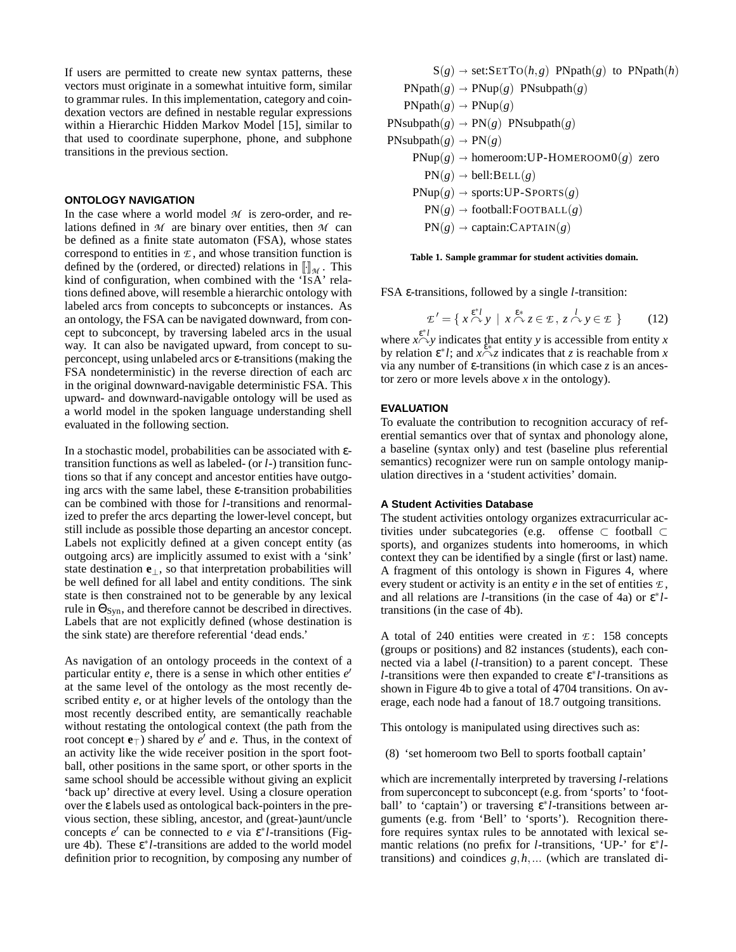If users are permitted to create new syntax patterns, these vectors must originate in a somewhat intuitive form, similar to grammar rules. In this implementation, category and coindexation vectors are defined in nestable regular expressions within a Hierarchic Hidden Markov Model [15], similar to that used to coordinate superphone, phone, and subphone transitions in the previous section.

## **ONTOLOGY NAVIGATION**

In the case where a world model *M* is zero-order, and relations defined in *M* are binary over entities, then *M* can be defined as a finite state automaton (FSA), whose states correspond to entities in  $E$ , and whose transition function is defined by the (ordered, or directed) relations in  $\llbracket \cdot \rrbracket_M$ . This kind of configuration, when combined with the 'ISA' relations defined above, will resemble a hierarchic ontology with labeled arcs from concepts to subconcepts or instances. As an ontology, the FSA can be navigated downward, from concept to subconcept, by traversing labeled arcs in the usual way. It can also be navigated upward, from concept to superconcept, using unlabeled arcs or ε-transitions (making the FSA nondeterministic) in the reverse direction of each arc in the original downward-navigable deterministic FSA. This upward- and downward-navigable ontology will be used as a world model in the spoken language understanding shell evaluated in the following section.

In a stochastic model, probabilities can be associated with εtransition functions as well as labeled- (or *l*-) transition functions so that if any concept and ancestor entities have outgoing arcs with the same label, these ε-transition probabilities can be combined with those for *l*-transitions and renormalized to prefer the arcs departing the lower-level concept, but still include as possible those departing an ancestor concept. Labels not explicitly defined at a given concept entity (as outgoing arcs) are implicitly assumed to exist with a 'sink' state destination **e**⊥, so that interpretation probabilities will be well defined for all label and entity conditions. The sink state is then constrained not to be generable by any lexical rule in  $\Theta_{Syn}$ , and therefore cannot be described in directives. Labels that are not explicitly defined (whose destination is the sink state) are therefore referential 'dead ends.'

As navigation of an ontology proceeds in the context of a particular entity *e*, there is a sense in which other entities *e* ′ at the same level of the ontology as the most recently described entity *e*, or at higher levels of the ontology than the most recently described entity, are semantically reachable without restating the ontological context (the path from the root concept **e**⊤) shared by *e* ′ and *e*. Thus, in the context of an activity like the wide receiver position in the sport football, other positions in the same sport, or other sports in the same school should be accessible without giving an explicit 'back up' directive at every level. Using a closure operation over the ε labels used as ontological back-pointers in the previous section, these sibling, ancestor, and (great-)aunt/uncle concepts *e'* can be connected to *e* via ε<sup>\*</sup>*l*-transitions (Figure 4b). These ε ∗ *l*-transitions are added to the world model definition prior to recognition, by composing any number of

$$
S(g) \rightarrow set: SETTo(h, g) \text{ PNpath}(g) \text{ to } \text{PNpath}(h)
$$
  
\n
$$
\text{PNpath}(g) \rightarrow \text{PNup}(g) \text{ PNsubpath}(g)
$$
  
\n
$$
\text{PNpath}(g) \rightarrow \text{PNup}(g)
$$
  
\n
$$
\text{PNsubpath}(g) \rightarrow \text{PN}(g) \text{ PNsubpath}(g)
$$
  
\n
$$
\text{PNsubpath}(g) \rightarrow \text{PN}(g)
$$
  
\n
$$
\text{PNup}(g) \rightarrow \text{homeroom:UP-HOMEROOMO}(g) \text{ zero}
$$
  
\n
$$
\text{PN}(g) \rightarrow \text{bell:BELL}(g)
$$
  
\n
$$
\text{PNup}(g) \rightarrow \text{sports:UP-SPORTS}(g)
$$
  
\n
$$
\text{PN}(g) \rightarrow \text{football:FOOTBALL}(g)
$$

 $PN(g) \rightarrow$  captain: CAPTAIN(g)

#### **Table 1. Sample grammar for student activities domain.**

FSA ε-transitions, followed by a single *l*-transition:

$$
\mathcal{L}' = \{ x \stackrel{\epsilon^* l}{\curvearrowright} y \mid x \stackrel{\epsilon^*}{\curvearrowright} z \in \mathcal{E}, z \stackrel{l}{\curvearrowright} y \in \mathcal{E} \}
$$
 (12)

where  $\lim_{x \to y} \frac{\varepsilon^* l}{\varepsilon^*}$  indicates that entity *y* is accessible from entity *x* by relation  $\varepsilon^* l$ ; and  $x \stackrel{\varepsilon^*}{\sim} z$  indicates that *z* is reachable from *x* via any number of ε-transitions (in which case *z* is an ancestor zero or more levels above *x* in the ontology).

## **EVALUATION**

To evaluate the contribution to recognition accuracy of referential semantics over that of syntax and phonology alone, a baseline (syntax only) and test (baseline plus referential semantics) recognizer were run on sample ontology manipulation directives in a 'student activities' domain.

# **A Student Activities Database**

The student activities ontology organizes extracurricular activities under subcategories (e.g. offense ⊂ football ⊂ sports), and organizes students into homerooms, in which context they can be identified by a single (first or last) name. A fragment of this ontology is shown in Figures 4, where every student or activity is an entity  $e$  in the set of entities  $E$ , and all relations are *l*-transitions (in the case of 4a) or ε ∗ *l*transitions (in the case of 4b).

A total of 240 entities were created in  $\mathcal{E}$ : 158 concepts (groups or positions) and 82 instances (students), each connected via a label (*l*-transition) to a parent concept. These *l*-transitions were then expanded to create ε ∗ *l*-transitions as shown in Figure 4b to give a total of 4704 transitions. On average, each node had a fanout of 18.7 outgoing transitions.

This ontology is manipulated using directives such as:

(8) 'set homeroom two Bell to sports football captain'

which are incrementally interpreted by traversing *l*-relations from superconcept to subconcept (e.g. from 'sports' to 'football' to 'captain') or traversing  $ε$ <sup>\*</sup>*l*-transitions between arguments (e.g. from 'Bell' to 'sports'). Recognition therefore requires syntax rules to be annotated with lexical semantic relations (no prefix for *l*-transitions, 'UP-' for ε<sup>\*</sup>*l*transitions) and coindices *g*,*h*,... (which are translated di-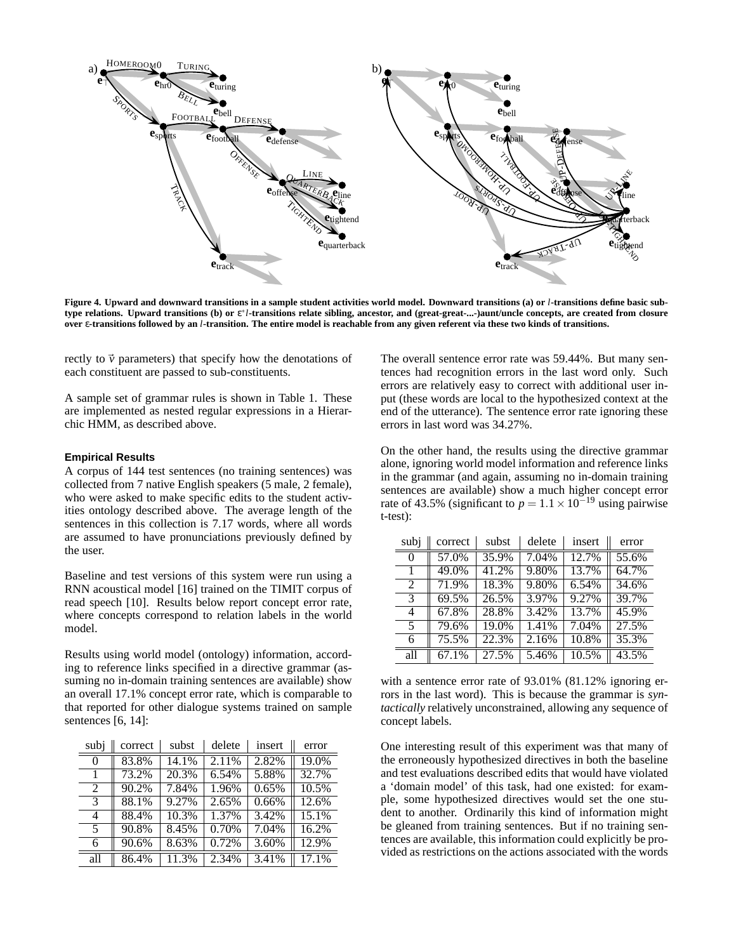

**Figure 4. Upward and downward transitions in a sample student activities world model. Downward transitions (a) or** *l***-transitions define basic subtype relations. Upward transitions (b) or** ε ∗ *l***-transitions relate sibling, ancestor, and (great-great-...-)aunt/uncle concepts, are created from closure over** ε**-transitions followed by an** *l***-transition. The entire model is reachable from any given referent via these two kinds of transitions.**

rectly to  $\vec{v}$  parameters) that specify how the denotations of each constituent are passed to sub-constituents.

A sample set of grammar rules is shown in Table 1. These are implemented as nested regular expressions in a Hierarchic HMM, as described above.

# **Empirical Results**

A corpus of 144 test sentences (no training sentences) was collected from 7 native English speakers (5 male, 2 female), who were asked to make specific edits to the student activities ontology described above. The average length of the sentences in this collection is 7.17 words, where all words are assumed to have pronunciations previously defined by the user.

Baseline and test versions of this system were run using a RNN acoustical model [16] trained on the TIMIT corpus of read speech [10]. Results below report concept error rate, where concepts correspond to relation labels in the world model.

Results using world model (ontology) information, according to reference links specified in a directive grammar (assuming no in-domain training sentences are available) show an overall 17.1% concept error rate, which is comparable to that reported for other dialogue systems trained on sample sentences [6, 14]:

| subj | correct | subst | delete | insert | error               |
|------|---------|-------|--------|--------|---------------------|
| 0    | 83.8%   | 14.1% | 2.11%  | 2.82%  | 19.0%               |
|      | 73.2%   | 20.3% | 6.54%  | 5.88%  | 32.7%               |
| 2    | 90.2%   | 7.84% | 1.96%  | 0.65%  | 10.5%               |
| 3    | 88.1%   | 9.27% | 2.65%  | 0.66%  | 12.6%               |
| 4    | 88.4%   | 10.3% | 1.37%  | 3.42%  | $15.\overline{1\%}$ |
| 5    | 90.8%   | 8.45% | 0.70%  | 7.04%  | 16.2%               |
| 6    | 90.6%   | 8.63% | 0.72%  | 3.60%  | 12.9%               |
| all  | 86.4%   | 11.3% | 2.34%  | 3.41%  | 17.1%               |

The overall sentence error rate was 59.44%. But many sentences had recognition errors in the last word only. Such errors are relatively easy to correct with additional user input (these words are local to the hypothesized context at the end of the utterance). The sentence error rate ignoring these errors in last word was 34.27%.

On the other hand, the results using the directive grammar alone, ignoring world model information and reference links in the grammar (and again, assuming no in-domain training sentences are available) show a much higher concept error rate of 43.5% (significant to  $p = 1.1 \times 10^{-19}$  using pairwise t-test):

| subi | correct             | subst | delete   | insert | error |
|------|---------------------|-------|----------|--------|-------|
| 0    | 57.0%               | 35.9% | 7.04%    | 12.7%  | 55.6% |
|      | 49.0%               | 41.2% | 9.80%    | 13.7%  | 64.7% |
| 2    | 71.9%               | 18.3% | 9.80%    | 6.54%  | 34.6% |
| 3    | 69.5%               | 26.5% | 3.97%    | 9.27%  | 39.7% |
| 4    | 67.8%               | 28.8% | 3.42%    | 13.7%  | 45.9% |
| 5    | 79.6%               | 19.0% | 1.41%    | 7.04%  | 27.5% |
| 6    | 75.5%               | 22.3% | 2.16%    | 10.8%  | 35.3% |
| all  | $67.\overline{1\%}$ | 27.5% | $5.46\%$ | 10.5%  | 43.5% |

with a sentence error rate of 93.01% (81.12% ignoring errors in the last word). This is because the grammar is *syntactically* relatively unconstrained, allowing any sequence of concept labels.

One interesting result of this experiment was that many of the erroneously hypothesized directives in both the baseline and test evaluations described edits that would have violated a 'domain model' of this task, had one existed: for example, some hypothesized directives would set the one student to another. Ordinarily this kind of information might be gleaned from training sentences. But if no training sentences are available, this information could explicitly be provided as restrictions on the actions associated with the words